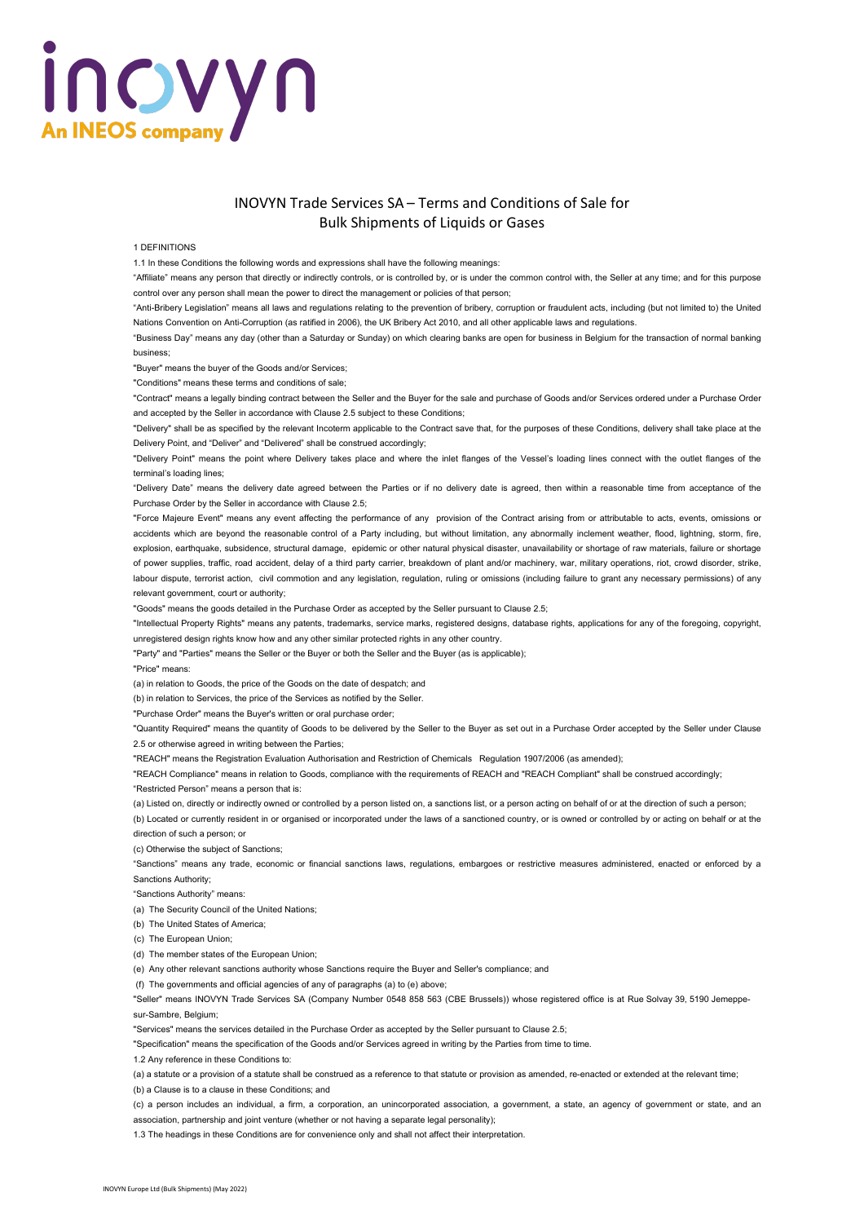# incyyn **An INEOS company**

### INOVYN Trade Services SA – Terms and Conditions of Sale for Bulk Shipments of Liquids or Gases

#### 1 DEFINITIONS

1.1 In these Conditions the following words and expressions shall have the following meanings:

"Affiliate" means any person that directly or indirectly controls, or is controlled by, or is under the common control with, the Seller at any time; and for this purpose control over any person shall mean the power to direct the management or policies of that person;

"Anti-Bribery Legislation" means all laws and regulations relating to the prevention of bribery, corruption or fraudulent acts, including (but not limited to) the United Nations Convention on Anti-Corruption (as ratified in 2006), the UK Bribery Act 2010, and all other applicable laws and regulations.

"Business Day" means any day (other than a Saturday or Sunday) on which clearing banks are open for business in Belgium for the transaction of normal banking business;

"Buyer" means the buyer of the Goods and/or Services;

"Conditions" means these terms and conditions of sale;

"Contract" means a legally binding contract between the Seller and the Buyer for the sale and purchase of Goods and/or Services ordered under a Purchase Order and accepted by the Seller in accordance with Clause 2.5 subject to these Conditions;

"Delivery" shall be as specified by the relevant Incoterm applicable to the Contract save that, for the purposes of these Conditions, delivery shall take place at the Delivery Point, and "Deliver" and "Delivered" shall be construed accordingly;

"Delivery Point" means the point where Delivery takes place and where the inlet flanges of the Vessel's loading lines connect with the outlet flanges of the terminal's loading lines;

"Delivery Date" means the delivery date agreed between the Parties or if no delivery date is agreed, then within a reasonable time from acceptance of the Purchase Order by the Seller in accordance with Clause 2.5;

"Force Majeure Event" means any event affecting the performance of any provision of the Contract arising from or attributable to acts, events, omissions or accidents which are beyond the reasonable control of a Party including, but without limitation, any abnormally inclement weather, flood, lightning, storm, fire, explosion, earthquake, subsidence, structural damage, epidemic or other natural physical disaster, unavailability or shortage of raw materials, failure or shortage of power supplies, traffic, road accident, delay of a third party carrier, breakdown of plant and/or machinery, war, military operations, riot, crowd disorder, strike, labour dispute, terrorist action, civil commotion and any legislation, regulation, ruling or omissions (including failure to grant any necessary permissions) of any relevant government, court or authority;

"Goods" means the goods detailed in the Purchase Order as accepted by the Seller pursuant to Clause 2.5;

"Intellectual Property Rights" means any patents, trademarks, service marks, registered designs, database rights, applications for any of the foregoing, copyright, unregistered design rights know how and any other similar protected rights in any other country.

"Party" and "Parties" means the Seller or the Buyer or both the Seller and the Buyer (as is applicable);

"Price" means:

(a) in relation to Goods, the price of the Goods on the date of despatch; and

(b) in relation to Services, the price of the Services as notified by the Seller.

"Purchase Order" means the Buyer's written or oral purchase order;

"Quantity Required" means the quantity of Goods to be delivered by the Seller to the Buyer as set out in a Purchase Order accepted by the Seller under Clause 2.5 or otherwise agreed in writing between the Parties;

"REACH" means the Registration Evaluation Authorisation and Restriction of Chemicals Regulation 1907/2006 (as amended);

"REACH Compliance" means in relation to Goods, compliance with the requirements of REACH and "REACH Compliant" shall be construed accordingly; "Restricted Person" means a person that is:

(a) Listed on, directly or indirectly owned or controlled by a person listed on, a sanctions list, or a person acting on behalf of or at the direction of such a person;

(b) Located or currently resident in or organised or incorporated under the laws of a sanctioned country, or is owned or controlled by or acting on behalf or at the direction of such a person; or

(c) Otherwise the subject of Sanctions;

"Sanctions" means any trade, economic or financial sanctions laws, regulations, embargoes or restrictive measures administered, enacted or enforced by a Sanctions Authority;

"Sanctions Authority" means:

(a) The Security Council of the United Nations;

(b) The United States of America;

(c) The European Union;

(d) The member states of the European Union;

(e) Any other relevant sanctions authority whose Sanctions require the Buyer and Seller's compliance; and

(f) The governments and official agencies of any of paragraphs (a) to (e) above;

"Seller" means INOVYN Trade Services SA (Company Number 0548 858 563 (CBE Brussels)) whose registered office is at Rue Solvay 39, 5190 Jemeppesur-Sambre, Belgium;

"Services" means the services detailed in the Purchase Order as accepted by the Seller pursuant to Clause 2.5;

"Specification" means the specification of the Goods and/or Services agreed in writing by the Parties from time to time.

1.2 Any reference in these Conditions to:

(a) a statute or a provision of a statute shall be construed as a reference to that statute or provision as amended, re-enacted or extended at the relevant time; (b) a Clause is to a clause in these Conditions; and

(c) a person includes an individual, a firm, a corporation, an unincorporated association, a government, a state, an agency of government or state, and an association, partnership and joint venture (whether or not having a separate legal personality);

1.3 The headings in these Conditions are for convenience only and shall not affect their interpretation.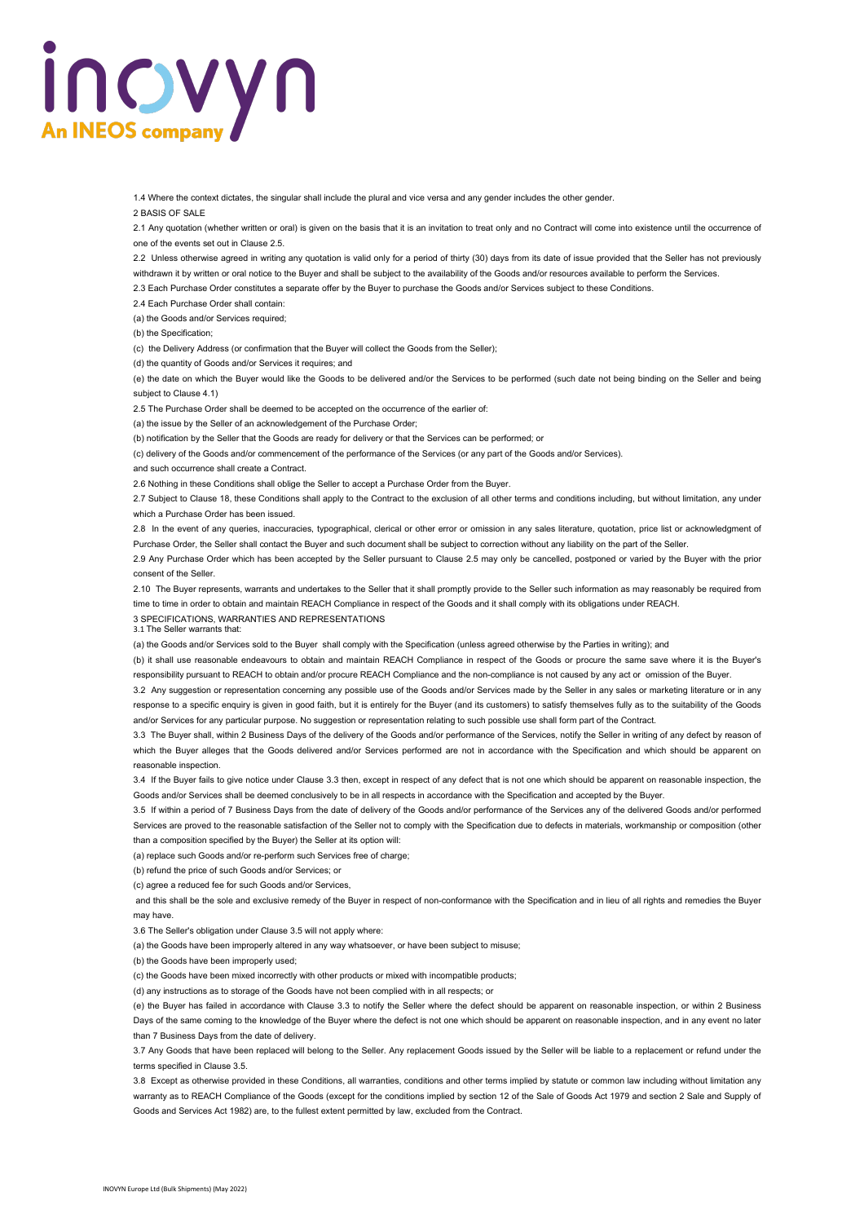# incwyn **An INEOS company**

1.4 Where the context dictates, the singular shall include the plural and vice versa and any gender includes the other gender.

2 BASIS OF SALE

2.1 Any quotation (whether written or oral) is given on the basis that it is an invitation to treat only and no Contract will come into existence until the occurrence of one of the events set out in Clause 2.5.

2.2 Unless otherwise agreed in writing any quotation is valid only for a period of thirty (30) days from its date of issue provided that the Seller has not previously

withdrawn it by written or oral notice to the Buyer and shall be subject to the availability of the Goods and/or resources available to perform the Services.

2.3 Each Purchase Order constitutes a separate offer by the Buyer to purchase the Goods and/or Services subject to these Conditions.

2.4 Each Purchase Order shall contain:

(a) the Goods and/or Services required;

(b) the Specification;

(c) the Delivery Address (or confirmation that the Buyer will collect the Goods from the Seller);

(d) the quantity of Goods and/or Services it requires; and

(e) the date on which the Buyer would like the Goods to be delivered and/or the Services to be performed (such date not being binding on the Seller and being subject to Clause 4.1)

2.5 The Purchase Order shall be deemed to be accepted on the occurrence of the earlier of:

(a) the issue by the Seller of an acknowledgement of the Purchase Order;

(b) notification by the Seller that the Goods are ready for delivery or that the Services can be performed; or

(c) delivery of the Goods and/or commencement of the performance of the Services (or any part of the Goods and/or Services).

and such occurrence shall create a Contract.

2.6 Nothing in these Conditions shall oblige the Seller to accept a Purchase Order from the Buyer.

2.7 Subject to Clause 18, these Conditions shall apply to the Contract to the exclusion of all other terms and conditions including, but without limitation, any under which a Purchase Order has been issued.

2.8 In the event of any queries, inaccuracies, typographical, clerical or other error or omission in any sales literature, quotation, price list or acknowledgment of Purchase Order, the Seller shall contact the Buyer and such document shall be subject to correction without any liability on the part of the Seller.

2.9 Any Purchase Order which has been accepted by the Seller pursuant to Clause 2.5 may only be cancelled, postponed or varied by the Buyer with the prior consent of the Seller.

2.10 The Buyer represents, warrants and undertakes to the Seller that it shall promptly provide to the Seller such information as may reasonably be required from time to time in order to obtain and maintain REACH Compliance in respect of the Goods and it shall comply with its obligations under REACH.

3 SPECIFICATIONS, WARRANTIES AND REPRESENTATIONS

3.1 The Seller warrants that:

(a) the Goods and/or Services sold to the Buyer shall comply with the Specification (unless agreed otherwise by the Parties in writing); and

(b) it shall use reasonable endeavours to obtain and maintain REACH Compliance in respect of the Goods or procure the same save where it is the Buyer's responsibility pursuant to REACH to obtain and/or procure REACH Compliance and the non-compliance is not caused by any act or omission of the Buyer.

3.2 Any suggestion or representation concerning any possible use of the Goods and/or Services made by the Seller in any sales or marketing literature or in any response to a specific enquiry is given in good faith, but it is entirely for the Buyer (and its customers) to satisfy themselves fully as to the suitability of the Goods and/or Services for any particular purpose. No suggestion or representation relating to such possible use shall form part of the Contract.

3.3 The Buyer shall, within 2 Business Days of the delivery of the Goods and/or performance of the Services, notify the Seller in writing of any defect by reason of which the Buyer alleges that the Goods delivered and/or Services performed are not in accordance with the Specification and which should be apparent on reasonable inspection.

3.4 If the Buyer fails to give notice under Clause 3.3 then, except in respect of any defect that is not one which should be apparent on reasonable inspection, the Goods and/or Services shall be deemed conclusively to be in all respects in accordance with the Specification and accepted by the Buyer.

3.5 If within a period of 7 Business Days from the date of delivery of the Goods and/or performance of the Services any of the delivered Goods and/or performed Services are proved to the reasonable satisfaction of the Seller not to comply with the Specification due to defects in materials, workmanship or composition (other than a composition specified by the Buyer) the Seller at its option will:

(a) replace such Goods and/or re-perform such Services free of charge;

(b) refund the price of such Goods and/or Services; or

(c) agree a reduced fee for such Goods and/or Services,

and this shall be the sole and exclusive remedy of the Buyer in respect of non-conformance with the Specification and in lieu of all rights and remedies the Buyer may have.

3.6 The Seller's obligation under Clause 3.5 will not apply where:

(a) the Goods have been improperly altered in any way whatsoever, or have been subject to misuse;

(b) the Goods have been improperly used;

(c) the Goods have been mixed incorrectly with other products or mixed with incompatible products;

(d) any instructions as to storage of the Goods have not been complied with in all respects; or

(e) the Buyer has failed in accordance with Clause 3.3 to notify the Seller where the defect should be apparent on reasonable inspection, or within 2 Business Days of the same coming to the knowledge of the Buyer where the defect is not one which should be apparent on reasonable inspection, and in any event no later than 7 Business Days from the date of delivery.

3.7 Any Goods that have been replaced will belong to the Seller. Any replacement Goods issued by the Seller will be liable to a replacement or refund under the terms specified in Clause 3.5.

3.8 Except as otherwise provided in these Conditions, all warranties, conditions and other terms implied by statute or common law including without limitation any warranty as to REACH Compliance of the Goods (except for the conditions implied by section 12 of the Sale of Goods Act 1979 and section 2 Sale and Supply of Goods and Services Act 1982) are, to the fullest extent permitted by law, excluded from the Contract.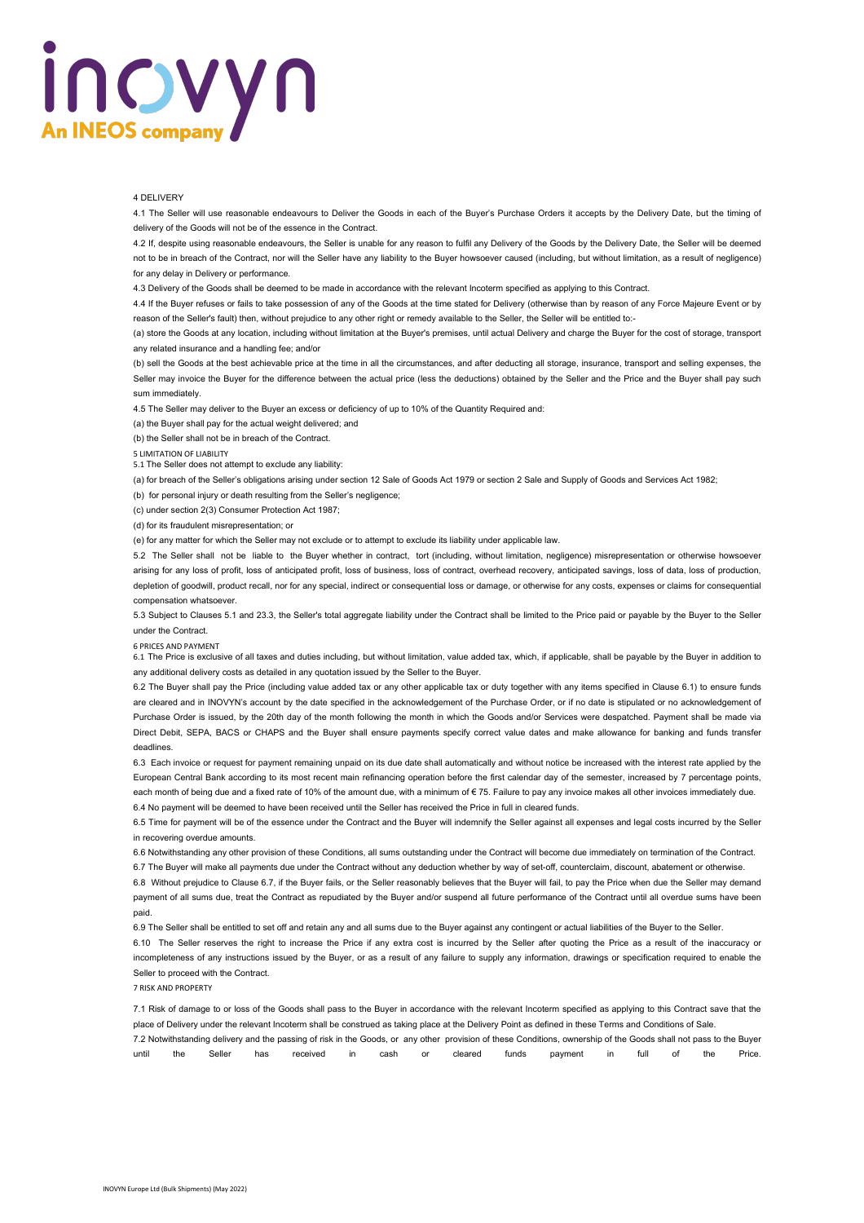# incyyn **An INEOS company**

### 4 DELIVERY

4.1 The Seller will use reasonable endeavours to Deliver the Goods in each of the Buyer's Purchase Orders it accepts by the Delivery Date, but the timing of delivery of the Goods will not be of the essence in the Contract.

4.2 If, despite using reasonable endeavours, the Seller is unable for any reason to fulfil any Delivery of the Goods by the Delivery Date, the Seller will be deemed not to be in breach of the Contract, nor will the Seller have any liability to the Buyer howsoever caused (including, but without limitation, as a result of negligence) for any delay in Delivery or performance.

4.3 Delivery of the Goods shall be deemed to be made in accordance with the relevant Incoterm specified as applying to this Contract.

4.4 If the Buyer refuses or fails to take possession of any of the Goods at the time stated for Delivery (otherwise than by reason of any Force Majeure Event or by reason of the Seller's fault) then, without prejudice to any other right or remedy available to the Seller, the Seller will be entitled to:-

(a) store the Goods at any location, including without limitation at the Buyer's premises, until actual Delivery and charge the Buyer for the cost of storage, transport any related insurance and a handling fee; and/or

(b) sell the Goods at the best achievable price at the time in all the circumstances, and after deducting all storage, insurance, transport and selling expenses, the Seller may invoice the Buyer for the difference between the actual price (less the deductions) obtained by the Seller and the Price and the Buyer shall pay such sum immediately.

4.5 The Seller may deliver to the Buyer an excess or deficiency of up to 10% of the Quantity Required and:

(a) the Buyer shall pay for the actual weight delivered; and

(b) the Seller shall not be in breach of the Contract.

5 LIMITATION OF LIABILITY

5.1 The Seller does not attempt to exclude any liability:

(a) for breach of the Seller's obligations arising under section 12 Sale of Goods Act 1979 or section 2 Sale and Supply of Goods and Services Act 1982;

(b) for personal injury or death resulting from the Seller's negligence;

(c) under section 2(3) Consumer Protection Act 1987;

(d) for its fraudulent misrepresentation; or

(e) for any matter for which the Seller may not exclude or to attempt to exclude its liability under applicable law.

5.2 The Seller shall not be liable to the Buyer whether in contract, tort (including, without limitation, negligence) misrepresentation or otherwise howsoever arising for any loss of profit, loss of anticipated profit, loss of business, loss of contract, overhead recovery, anticipated savings, loss of data, loss of production, depletion of goodwill, product recall, nor for any special, indirect or consequential loss or damage, or otherwise for any costs, expenses or claims for consequential compensation whatsoever.

5.3 Subject to Clauses 5.1 and 23.3, the Seller's total aggregate liability under the Contract shall be limited to the Price paid or payable by the Buyer to the Seller under the Contract.

#### 6 PRICES AND PAYMENT

6.1 The Price is exclusive of all taxes and duties including, but without limitation, value added tax, which, if applicable, shall be payable by the Buyer in addition to any additional delivery costs as detailed in any quotation issued by the Seller to the Buyer.

6.2 The Buyer shall pay the Price (including value added tax or any other applicable tax or duty together with any items specified in Clause 6.1) to ensure funds are cleared and in INOVYN's account by the date specified in the acknowledgement of the Purchase Order, or if no date is stipulated or no acknowledgement of Purchase Order is issued, by the 20th day of the month following the month in which the Goods and/or Services were despatched. Payment shall be made via Direct Debit, SEPA, BACS or CHAPS and the Buyer shall ensure payments specify correct value dates and make allowance for banking and funds transfer deadlines.

6.3 Each invoice or request for payment remaining unpaid on its due date shall automatically and without notice be increased with the interest rate applied by the European Central Bank according to its most recent main refinancing operation before the first calendar day of the semester, increased by 7 percentage points, each month of being due and a fixed rate of 10% of the amount due, with a minimum of €75. Failure to pay any invoice makes all other invoices immediately due. 6.4 No payment will be deemed to have been received until the Seller has received the Price in full in cleared funds.

6.5 Time for payment will be of the essence under the Contract and the Buyer will indemnify the Seller against all expenses and legal costs incurred by the Seller in recovering overdue amounts.

6.6 Notwithstanding any other provision of these Conditions, all sums outstanding under the Contract will become due immediately on termination of the Contract. 6.7 The Buyer will make all payments due under the Contract without any deduction whether by way of set-off, counterclaim, discount, abatement or otherwise.

6.8 Without prejudice to Clause 6.7, if the Buyer fails, or the Seller reasonably believes that the Buyer will fail, to pay the Price when due the Seller may demand

payment of all sums due, treat the Contract as repudiated by the Buyer and/or suspend all future performance of the Contract until all overdue sums have been paid.

6.9 The Seller shall be entitled to set off and retain any and all sums due to the Buyer against any contingent or actual liabilities of the Buyer to the Seller.

6.10 The Seller reserves the right to increase the Price if any extra cost is incurred by the Seller after quoting the Price as a result of the inaccuracy or incompleteness of any instructions issued by the Buyer, or as a result of any failure to supply any information, drawings or specification required to enable the Seller to proceed with the Contract.

7 RISK AND PROPERTY

7.1 Risk of damage to or loss of the Goods shall pass to the Buyer in accordance with the relevant Incoterm specified as applying to this Contract save that the place of Delivery under the relevant Incoterm shall be construed as taking place at the Delivery Point as defined in these Terms and Conditions of Sale. 7.2 Notwithstanding delivery and the passing of risk in the Goods, or any other provision of these Conditions, ownership of the Goods shall not pass to the Buyer until the Seller has received in cash or cleared funds payment in full of the Price.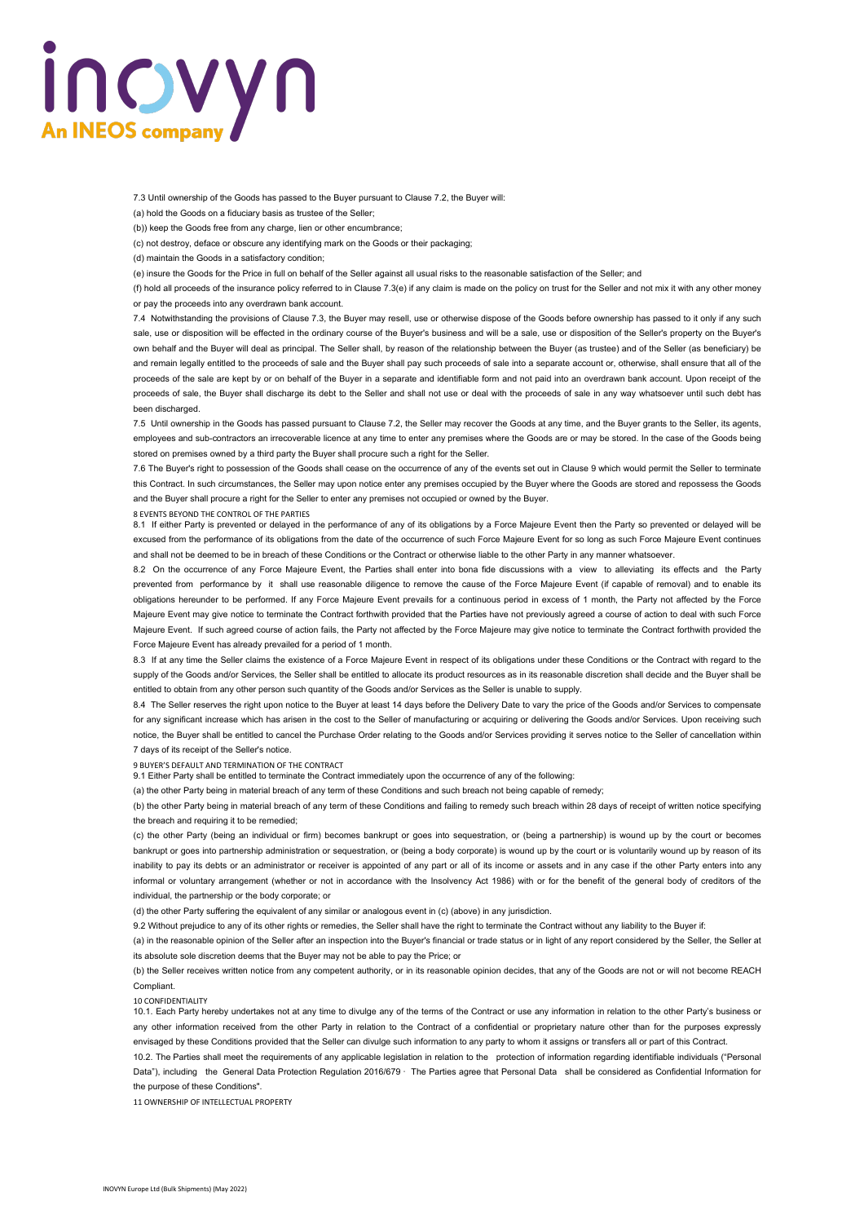# incyyn **An INEOS company**

7.3 Until ownership of the Goods has passed to the Buyer pursuant to Clause 7.2, the Buyer will:

(a) hold the Goods on a fiduciary basis as trustee of the Seller;

(b)) keep the Goods free from any charge, lien or other encumbrance;

(c) not destroy, deface or obscure any identifying mark on the Goods or their packaging;

(d) maintain the Goods in a satisfactory condition;

(e) insure the Goods for the Price in full on behalf of the Seller against all usual risks to the reasonable satisfaction of the Seller; and

(f) hold all proceeds of the insurance policy referred to in Clause 7.3(e) if any claim is made on the policy on trust for the Seller and not mix it with any other money or pay the proceeds into any overdrawn bank account.

7.4 Notwithstanding the provisions of Clause 7.3, the Buyer may resell, use or otherwise dispose of the Goods before ownership has passed to it only if any such sale, use or disposition will be effected in the ordinary course of the Buyer's business and will be a sale, use or disposition of the Seller's property on the Buyer's own behalf and the Buyer will deal as principal. The Seller shall, by reason of the relationship between the Buyer (as trustee) and of the Seller (as beneficiary) be and remain legally entitled to the proceeds of sale and the Buyer shall pay such proceeds of sale into a separate account or, otherwise, shall ensure that all of the proceeds of the sale are kept by or on behalf of the Buyer in a separate and identifiable form and not paid into an overdrawn bank account. Upon receipt of the proceeds of sale, the Buyer shall discharge its debt to the Seller and shall not use or deal with the proceeds of sale in any way whatsoever until such debt has been discharged

7.5 Until ownership in the Goods has passed pursuant to Clause 7.2, the Seller may recover the Goods at any time, and the Buyer grants to the Seller, its agents, employees and sub-contractors an irrecoverable licence at any time to enter any premises where the Goods are or may be stored. In the case of the Goods being stored on premises owned by a third party the Buyer shall procure such a right for the Seller.

7.6 The Buyer's right to possession of the Goods shall cease on the occurrence of any of the events set out in Clause 9 which would permit the Seller to terminate this Contract. In such circumstances, the Seller may upon notice enter any premises occupied by the Buyer where the Goods are stored and repossess the Goods and the Buyer shall procure a right for the Seller to enter any premises not occupied or owned by the Buyer.

### 8 EVENTS BEYOND THE CONTROL OF THE PARTIES

8.1 If either Party is prevented or delayed in the performance of any of its obligations by a Force Majeure Event then the Party so prevented or delayed will be excused from the performance of its obligations from the date of the occurrence of such Force Majeure Event for so long as such Force Majeure Event continues and shall not be deemed to be in breach of these Conditions or the Contract or otherwise liable to the other Party in any manner whatsoever.

8.2 On the occurrence of any Force Majeure Event, the Parties shall enter into bona fide discussions with a view to alleviating its effects and the Party prevented from performance by it shall use reasonable diligence to remove the cause of the Force Majeure Event (if capable of removal) and to enable its obligations hereunder to be performed. If any Force Majeure Event prevails for a continuous period in excess of 1 month, the Party not affected by the Force Majeure Event may give notice to terminate the Contract forthwith provided that the Parties have not previously agreed a course of action to deal with such Force Majeure Event. If such agreed course of action fails, the Party not affected by the Force Majeure may give notice to terminate the Contract forthwith provided the Force Majeure Event has already prevailed for a period of 1 month.

8.3 If at any time the Seller claims the existence of a Force Majeure Event in respect of its obligations under these Conditions or the Contract with regard to the supply of the Goods and/or Services, the Seller shall be entitled to allocate its product resources as in its reasonable discretion shall decide and the Buyer shall be entitled to obtain from any other person such quantity of the Goods and/or Services as the Seller is unable to supply.

8.4 The Seller reserves the right upon notice to the Buyer at least 14 days before the Delivery Date to vary the price of the Goods and/or Services to compensate for any significant increase which has arisen in the cost to the Seller of manufacturing or acquiring or delivering the Goods and/or Services. Upon receiving such notice, the Buyer shall be entitled to cancel the Purchase Order relating to the Goods and/or Services providing it serves notice to the Seller of cancellation within 7 days of its receipt of the Seller's notice.

#### 9 BUYER'S DEFAULT AND TERMINATION OF THE CONTRACT

9.1 Either Party shall be entitled to terminate the Contract immediately upon the occurrence of any of the following:

(a) the other Party being in material breach of any term of these Conditions and such breach not being capable of remedy;

(b) the other Party being in material breach of any term of these Conditions and failing to remedy such breach within 28 days of receipt of written notice specifying the breach and requiring it to be remedied;

(c) the other Party (being an individual or firm) becomes bankrupt or goes into sequestration, or (being a partnership) is wound up by the court or becomes bankrupt or goes into partnership administration or sequestration, or (being a body corporate) is wound up by the court or is voluntarily wound up by reason of its inability to pay its debts or an administrator or receiver is appointed of any part or all of its income or assets and in any case if the other Party enters into any informal or voluntary arrangement (whether or not in accordance with the Insolvency Act 1986) with or for the benefit of the general body of creditors of the individual, the partnership or the body corporate; or

(d) the other Party suffering the equivalent of any similar or analogous event in (c) (above) in any jurisdiction.

9.2 Without prejudice to any of its other rights or remedies, the Seller shall have the right to terminate the Contract without any liability to the Buyer if:

(a) in the reasonable opinion of the Seller after an inspection into the Buyer's financial or trade status or in light of any report considered by the Seller, the Seller at its absolute sole discretion deems that the Buyer may not be able to pay the Price; or

(b) the Seller receives written notice from any competent authority, or in its reasonable opinion decides, that any of the Goods are not or will not become REACH Compliant.

#### 10 CONFIDENTIALITY

10.1. Each Party hereby undertakes not at any time to divulge any of the terms of the Contract or use any information in relation to the other Party's business or any other information received from the other Party in relation to the Contract of a confidential or proprietary nature other than for the purposes expressly envisaged by these Conditions provided that the Seller can divulge such information to any party to whom it assigns or transfers all or part of this Contract.

10.2. The Parties shall meet the requirements of any applicable legislation in relation to the protection of information regarding identifiable individuals ("Personal Data"), including the General Data Protection Regulation 2016/679 · The Parties agree that Personal Data shall be considered as Confidential Information for the purpose of these Conditions".

11 OWNERSHIP OF INTELLECTUAL PROPERTY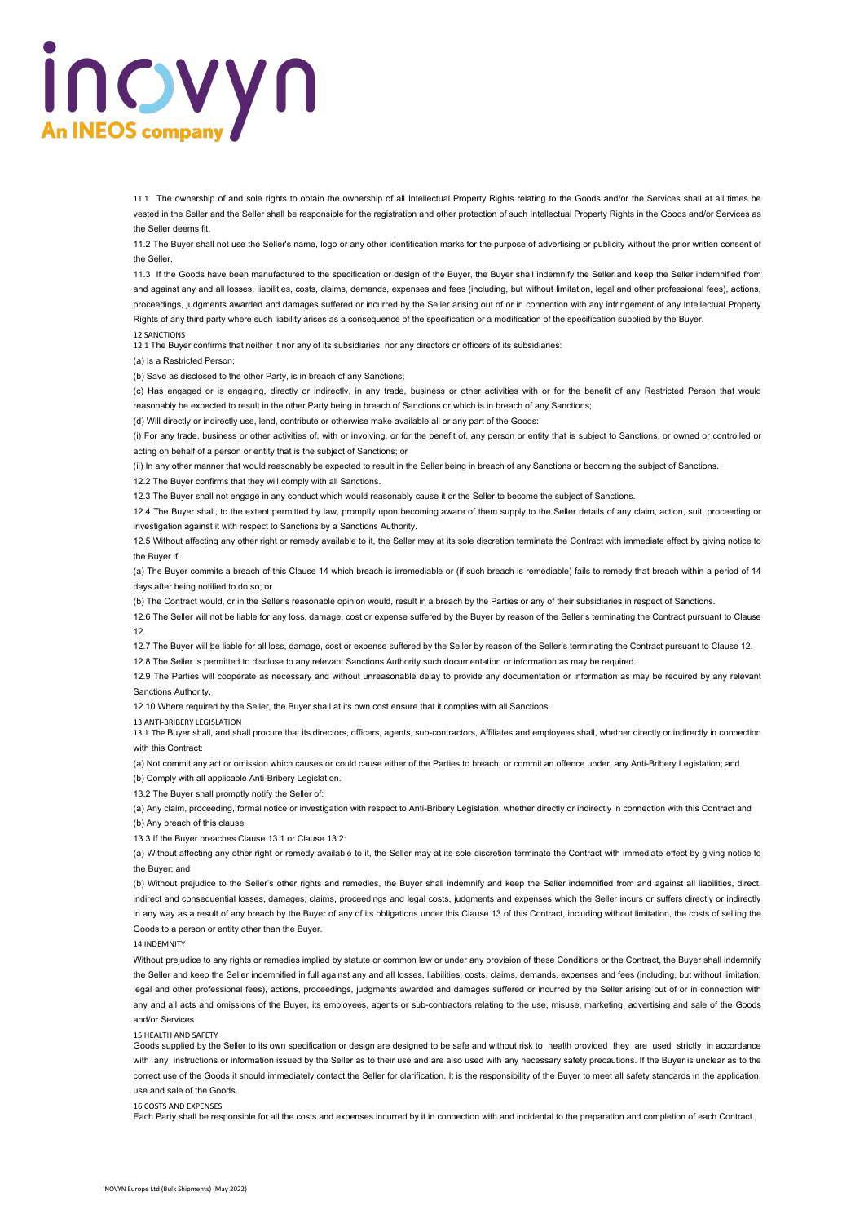# incwyn **An INEOS company**

11.1 The ownership of and sole rights to obtain the ownership of all Intellectual Property Rights relating to the Goods and/or the Services shall at all times be vested in the Seller and the Seller shall be responsible for the registration and other protection of such Intellectual Property Rights in the Goods and/or Services as the Seller deems fit.

11.2 The Buyer shall not use the Seller's name, logo or any other identification marks for the purpose of advertising or publicity without the prior written consent of the Seller.

11.3 If the Goods have been manufactured to the specification or design of the Buyer, the Buyer shall indemnify the Seller and keep the Seller indemnified from and against any and all losses, liabilities, costs, claims, demands, expenses and fees (including, but without limitation, legal and other professional fees), actions, proceedings, judgments awarded and damages suffered or incurred by the Seller arising out of or in connection with any infringement of any Intellectual Property Rights of any third party where such liability arises as a consequence of the specification or a modification of the specification supplied by the Buyer.

#### 12 SANCTIONS

12.1 The Buyer confirms that neither it nor any of its subsidiaries, nor any directors or officers of its subsidiaries:

(a) Is a Restricted Person;

(b) Save as disclosed to the other Party, is in breach of any Sanctions;

(c) Has engaged or is engaging, directly or indirectly, in any trade, business or other activities with or for the benefit of any Restricted Person that would reasonably be expected to result in the other Party being in breach of Sanctions or which is in breach of any Sanctions;

(d) Will directly or indirectly use, lend, contribute or otherwise make available all or any part of the Goods:

(i) For any trade, business or other activities of, with or involving, or for the benefit of, any person or entity that is subject to Sanctions, or owned or controlled or acting on behalf of a person or entity that is the subject of Sanctions; or

(ii) In any other manner that would reasonably be expected to result in the Seller being in breach of any Sanctions or becoming the subject of Sanctions.

12.2 The Buyer confirms that they will comply with all Sanctions.

12.3 The Buyer shall not engage in any conduct which would reasonably cause it or the Seller to become the subject of Sanctions.

12.4 The Buyer shall, to the extent permitted by law, promptly upon becoming aware of them supply to the Seller details of any claim, action, suit, proceeding or investigation against it with respect to Sanctions by a Sanctions Authority.

12.5 Without affecting any other right or remedy available to it, the Seller may at its sole discretion terminate the Contract with immediate effect by giving notice to the Buyer if:

(a) The Buyer commits a breach of this Clause 14 which breach is irremediable or (if such breach is remediable) fails to remedy that breach within a period of 14 days after being notified to do so; or

(b) The Contract would, or in the Seller's reasonable opinion would, result in a breach by the Parties or any of their subsidiaries in respect of Sanctions.

12.6 The Seller will not be liable for any loss, damage, cost or expense suffered by the Buyer by reason of the Seller's terminating the Contract pursuant to Clause 12.

12.7 The Buyer will be liable for all loss, damage, cost or expense suffered by the Seller by reason of the Seller's terminating the Contract pursuant to Clause 12. 12.8 The Seller is permitted to disclose to any relevant Sanctions Authority such documentation or information as may be required.

12.9 The Parties will cooperate as necessary and without unreasonable delay to provide any documentation or information as may be required by any relevant Sanctions Authority.

12.10 Where required by the Seller, the Buyer shall at its own cost ensure that it complies with all Sanctions.

13 ANTI-BRIBERY LEGISLATION

13.1 The Buyer shall, and shall procure that its directors, officers, agents, sub-contractors, Affiliates and employees shall, whether directly or indirectly in connection with this Contract:

(a) Not commit any act or omission which causes or could cause either of the Parties to breach, or commit an offence under, any Anti-Bribery Legislation; and (b) Comply with all applicable Anti-Bribery Legislation.

13.2 The Buyer shall promptly notify the Seller of:

(a) Any claim, proceeding, formal notice or investigation with respect to Anti-Bribery Legislation, whether directly or indirectly in connection with this Contract and (b) Any breach of this clause

13.3 If the Buyer breaches Clause 13.1 or Clause 13.2:

(a) Without affecting any other right or remedy available to it, the Seller may at its sole discretion terminate the Contract with immediate effect by giving notice to the Buyer; and

(b) Without prejudice to the Seller's other rights and remedies, the Buyer shall indemnify and keep the Seller indemnified from and against all liabilities, direct, indirect and consequential losses, damages, claims, proceedings and legal costs, judgments and expenses which the Seller incurs or suffers directly or indirectly in any way as a result of any breach by the Buyer of any of its obligations under this Clause 13 of this Contract, including without limitation, the costs of selling the Goods to a person or entity other than the Buyer.

14 INDEMNITY

Without prejudice to any rights or remedies implied by statute or common law or under any provision of these Conditions or the Contract, the Buyer shall indemnify the Seller and keep the Seller indemnified in full against any and all losses, liabilities, costs, claims, demands, expenses and fees (including, but without limitation, legal and other professional fees), actions, proceedings, judgments awarded and damages suffered or incurred by the Seller arising out of or in connection with any and all acts and omissions of the Buyer, its employees, agents or sub-contractors relating to the use, misuse, marketing, advertising and sale of the Goods and/or Services.

15 HEALTH AND SAFETY

Goods supplied by the Seller to its own specification or design are designed to be safe and without risk to health provided they are used strictly in accordance with any instructions or information issued by the Seller as to their use and are also used with any necessary safety precautions. If the Buyer is unclear as to the correct use of the Goods it should immediately contact the Seller for clarification. It is the responsibility of the Buyer to meet all safety standards in the application, use and sale of the Goods.

16 COSTS AND EXPENSES

Each Party shall be responsible for all the costs and expenses incurred by it in connection with and incidental to the preparation and completion of each Contract.